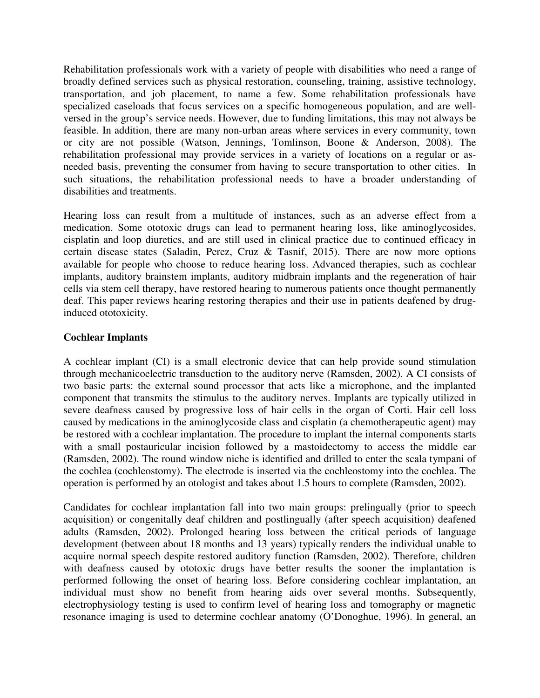Rehabilitation professionals work with a variety of people with disabilities who need a range of broadly defined services such as physical restoration, counseling, training, assistive technology, transportation, and job placement, to name a few. Some rehabilitation professionals have specialized caseloads that focus services on a specific homogeneous population, and are wellversed in the group's service needs. However, due to funding limitations, this may not always be feasible. In addition, there are many non-urban areas where services in every community, town or city are not possible (Watson, Jennings, Tomlinson, Boone & Anderson, 2008). The rehabilitation professional may provide services in a variety of locations on a regular or asneeded basis, preventing the consumer from having to secure transportation to other cities. In such situations, the rehabilitation professional needs to have a broader understanding of disabilities and treatments.

Hearing loss can result from a multitude of instances, such as an adverse effect from a medication. Some ototoxic drugs can lead to permanent hearing loss, like aminoglycosides, cisplatin and loop diuretics, and are still used in clinical practice due to continued efficacy in certain disease states (Saladin, Perez, Cruz & Tasnif, 2015). There are now more options available for people who choose to reduce hearing loss. Advanced therapies, such as cochlear implants, auditory brainstem implants, auditory midbrain implants and the regeneration of hair cells via stem cell therapy, have restored hearing to numerous patients once thought permanently deaf. This paper reviews hearing restoring therapies and their use in patients deafened by druginduced ototoxicity.

# **Cochlear Implants**

A cochlear implant (CI) is a small electronic device that can help provide sound stimulation through mechanicoelectric transduction to the auditory nerve (Ramsden, 2002). A CI consists of two basic parts: the external sound processor that acts like a microphone, and the implanted component that transmits the stimulus to the auditory nerves. Implants are typically utilized in severe deafness caused by progressive loss of hair cells in the organ of Corti. Hair cell loss caused by medications in the aminoglycoside class and cisplatin (a chemotherapeutic agent) may be restored with a cochlear implantation. The procedure to implant the internal components starts with a small postauricular incision followed by a mastoidectomy to access the middle ear (Ramsden, 2002). The round window niche is identified and drilled to enter the scala tympani of the cochlea (cochleostomy). The electrode is inserted via the cochleostomy into the cochlea. The operation is performed by an otologist and takes about 1.5 hours to complete (Ramsden, 2002).

Candidates for cochlear implantation fall into two main groups: prelingually (prior to speech acquisition) or congenitally deaf children and postlingually (after speech acquisition) deafened adults (Ramsden, 2002). Prolonged hearing loss between the critical periods of language development (between about 18 months and 13 years) typically renders the individual unable to acquire normal speech despite restored auditory function (Ramsden, 2002). Therefore, children with deafness caused by ototoxic drugs have better results the sooner the implantation is performed following the onset of hearing loss. Before considering cochlear implantation, an individual must show no benefit from hearing aids over several months. Subsequently, electrophysiology testing is used to confirm level of hearing loss and tomography or magnetic resonance imaging is used to determine cochlear anatomy (O'Donoghue, 1996). In general, an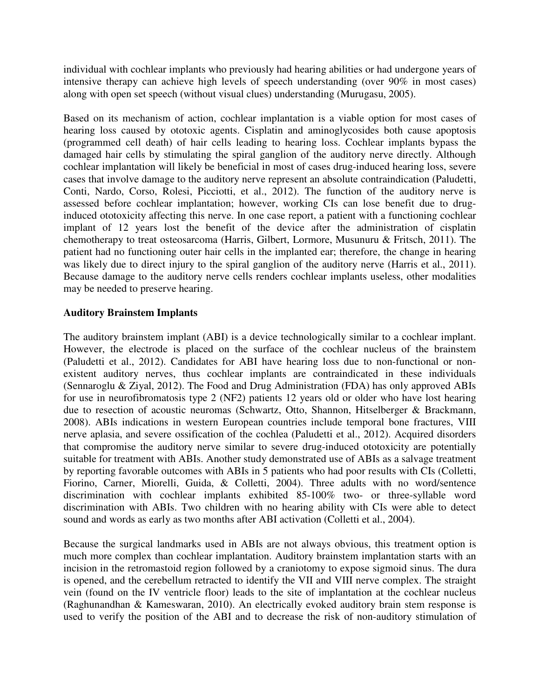individual with cochlear implants who previously had hearing abilities or had undergone years of intensive therapy can achieve high levels of speech understanding (over 90% in most cases) along with open set speech (without visual clues) understanding (Murugasu, 2005).

Based on its mechanism of action, cochlear implantation is a viable option for most cases of hearing loss caused by ototoxic agents. Cisplatin and aminoglycosides both cause apoptosis (programmed cell death) of hair cells leading to hearing loss. Cochlear implants bypass the damaged hair cells by stimulating the spiral ganglion of the auditory nerve directly. Although cochlear implantation will likely be beneficial in most of cases drug-induced hearing loss, severe cases that involve damage to the auditory nerve represent an absolute contraindication (Paludetti, Conti, Nardo, Corso, Rolesi, Picciotti, et al., 2012). The function of the auditory nerve is assessed before cochlear implantation; however, working CIs can lose benefit due to druginduced ototoxicity affecting this nerve. In one case report, a patient with a functioning cochlear implant of 12 years lost the benefit of the device after the administration of cisplatin chemotherapy to treat osteosarcoma (Harris, Gilbert, Lormore, Musunuru & Fritsch, 2011). The patient had no functioning outer hair cells in the implanted ear; therefore, the change in hearing was likely due to direct injury to the spiral ganglion of the auditory nerve (Harris et al., 2011). Because damage to the auditory nerve cells renders cochlear implants useless, other modalities may be needed to preserve hearing.

# **Auditory Brainstem Implants**

The auditory brainstem implant (ABI) is a device technologically similar to a cochlear implant. However, the electrode is placed on the surface of the cochlear nucleus of the brainstem (Paludetti et al., 2012). Candidates for ABI have hearing loss due to non-functional or nonexistent auditory nerves, thus cochlear implants are contraindicated in these individuals (Sennaroglu & Ziyal, 2012). The Food and Drug Administration (FDA) has only approved ABIs for use in neurofibromatosis type 2 (NF2) patients 12 years old or older who have lost hearing due to resection of acoustic neuromas (Schwartz, Otto, Shannon, Hitselberger & Brackmann, 2008). ABIs indications in western European countries include temporal bone fractures, VIII nerve aplasia, and severe ossification of the cochlea (Paludetti et al., 2012). Acquired disorders that compromise the auditory nerve similar to severe drug-induced ototoxicity are potentially suitable for treatment with ABIs. Another study demonstrated use of ABIs as a salvage treatment by reporting favorable outcomes with ABIs in 5 patients who had poor results with CIs (Colletti, Fiorino, Carner, Miorelli, Guida, & Colletti, 2004). Three adults with no word/sentence discrimination with cochlear implants exhibited 85-100% two- or three-syllable word discrimination with ABIs. Two children with no hearing ability with CIs were able to detect sound and words as early as two months after ABI activation (Colletti et al., 2004).

Because the surgical landmarks used in ABIs are not always obvious, this treatment option is much more complex than cochlear implantation. Auditory brainstem implantation starts with an incision in the retromastoid region followed by a craniotomy to expose sigmoid sinus. The dura is opened, and the cerebellum retracted to identify the VII and VIII nerve complex. The straight vein (found on the IV ventricle floor) leads to the site of implantation at the cochlear nucleus (Raghunandhan & Kameswaran, 2010). An electrically evoked auditory brain stem response is used to verify the position of the ABI and to decrease the risk of non-auditory stimulation of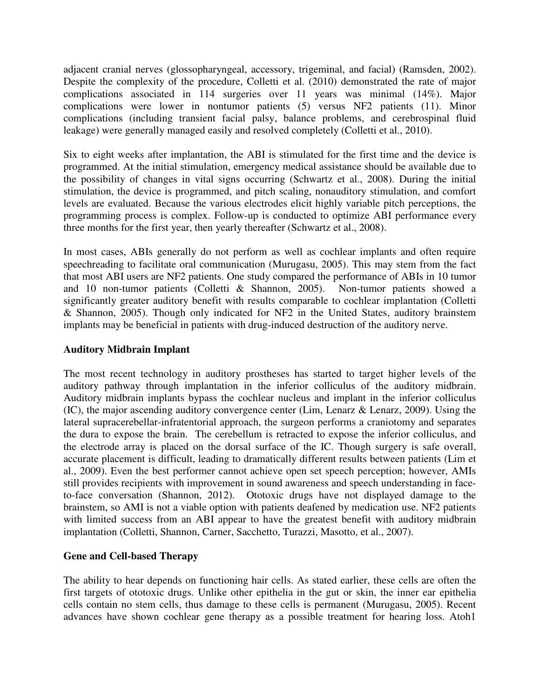adjacent cranial nerves (glossopharyngeal, accessory, trigeminal, and facial) (Ramsden, 2002). Despite the complexity of the procedure, Colletti et al. (2010) demonstrated the rate of major complications associated in 114 surgeries over 11 years was minimal (14%). Major complications were lower in nontumor patients (5) versus NF2 patients (11). Minor complications (including transient facial palsy, balance problems, and cerebrospinal fluid leakage) were generally managed easily and resolved completely (Colletti et al., 2010).

Six to eight weeks after implantation, the ABI is stimulated for the first time and the device is programmed. At the initial stimulation, emergency medical assistance should be available due to the possibility of changes in vital signs occurring (Schwartz et al., 2008). During the initial stimulation, the device is programmed, and pitch scaling, nonauditory stimulation, and comfort levels are evaluated. Because the various electrodes elicit highly variable pitch perceptions, the programming process is complex. Follow-up is conducted to optimize ABI performance every three months for the first year, then yearly thereafter (Schwartz et al., 2008).

In most cases, ABIs generally do not perform as well as cochlear implants and often require speechreading to facilitate oral communication (Murugasu, 2005). This may stem from the fact that most ABI users are NF2 patients. One study compared the performance of ABIs in 10 tumor and 10 non-tumor patients (Colletti & Shannon, 2005). Non-tumor patients showed a significantly greater auditory benefit with results comparable to cochlear implantation (Colletti & Shannon, 2005). Though only indicated for NF2 in the United States, auditory brainstem implants may be beneficial in patients with drug-induced destruction of the auditory nerve.

# **Auditory Midbrain Implant**

The most recent technology in auditory prostheses has started to target higher levels of the auditory pathway through implantation in the inferior colliculus of the auditory midbrain. Auditory midbrain implants bypass the cochlear nucleus and implant in the inferior colliculus (IC), the major ascending auditory convergence center (Lim, Lenarz & Lenarz, 2009). Using the lateral supracerebellar-infratentorial approach, the surgeon performs a craniotomy and separates the dura to expose the brain. The cerebellum is retracted to expose the inferior colliculus, and the electrode array is placed on the dorsal surface of the IC. Though surgery is safe overall, accurate placement is difficult, leading to dramatically different results between patients (Lim et al., 2009). Even the best performer cannot achieve open set speech perception; however, AMIs still provides recipients with improvement in sound awareness and speech understanding in faceto-face conversation (Shannon, 2012). Ototoxic drugs have not displayed damage to the brainstem, so AMI is not a viable option with patients deafened by medication use. NF2 patients with limited success from an ABI appear to have the greatest benefit with auditory midbrain implantation (Colletti, Shannon, Carner, Sacchetto, Turazzi, Masotto, et al., 2007).

### **Gene and Cell-based Therapy**

The ability to hear depends on functioning hair cells. As stated earlier, these cells are often the first targets of ototoxic drugs. Unlike other epithelia in the gut or skin, the inner ear epithelia cells contain no stem cells, thus damage to these cells is permanent (Murugasu, 2005). Recent advances have shown cochlear gene therapy as a possible treatment for hearing loss. Atoh1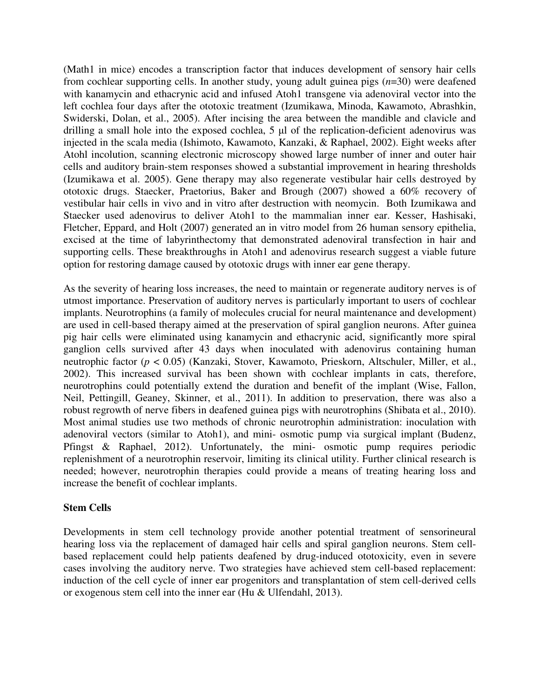(Math1 in mice) encodes a transcription factor that induces development of sensory hair cells from cochlear supporting cells. In another study, young adult guinea pigs (*n*=30) were deafened with kanamycin and ethacrynic acid and infused Atoh1 transgene via adenoviral vector into the left cochlea four days after the ototoxic treatment (Izumikawa, Minoda, Kawamoto, Abrashkin, Swiderski, Dolan, et al., 2005). After incising the area between the mandible and clavicle and drilling a small hole into the exposed cochlea, 5 µl of the replication-deficient adenovirus was injected in the scala media (Ishimoto, Kawamoto, Kanzaki, & Raphael, 2002). Eight weeks after Atohl incolution, scanning electronic microscopy showed large number of inner and outer hair cells and auditory brain-stem responses showed a substantial improvement in hearing thresholds (Izumikawa et al. 2005). Gene therapy may also regenerate vestibular hair cells destroyed by ototoxic drugs. Staecker, Praetorius, Baker and Brough (2007) showed a 60% recovery of vestibular hair cells in vivo and in vitro after destruction with neomycin. Both Izumikawa and Staecker used adenovirus to deliver Atoh1 to the mammalian inner ear. Kesser, Hashisaki, Fletcher, Eppard, and Holt (2007) generated an in vitro model from 26 human sensory epithelia, excised at the time of labyrinthectomy that demonstrated adenoviral transfection in hair and supporting cells. These breakthroughs in Atoh1 and adenovirus research suggest a viable future option for restoring damage caused by ototoxic drugs with inner ear gene therapy.

As the severity of hearing loss increases, the need to maintain or regenerate auditory nerves is of utmost importance. Preservation of auditory nerves is particularly important to users of cochlear implants. Neurotrophins (a family of molecules crucial for neural maintenance and development) are used in cell-based therapy aimed at the preservation of spiral ganglion neurons. After guinea pig hair cells were eliminated using kanamycin and ethacrynic acid, significantly more spiral ganglion cells survived after 43 days when inoculated with adenovirus containing human neutrophic factor (*p* < 0.05) (Kanzaki, Stover, Kawamoto, Prieskorn, Altschuler, Miller, et al., 2002). This increased survival has been shown with cochlear implants in cats, therefore, neurotrophins could potentially extend the duration and benefit of the implant (Wise, Fallon, Neil, Pettingill, Geaney, Skinner, et al., 2011). In addition to preservation, there was also a robust regrowth of nerve fibers in deafened guinea pigs with neurotrophins (Shibata et al., 2010). Most animal studies use two methods of chronic neurotrophin administration: inoculation with adenoviral vectors (similar to Atoh1), and mini- osmotic pump via surgical implant (Budenz, Pfingst & Raphael, 2012). Unfortunately, the mini- osmotic pump requires periodic replenishment of a neurotrophin reservoir, limiting its clinical utility. Further clinical research is needed; however, neurotrophin therapies could provide a means of treating hearing loss and increase the benefit of cochlear implants.

### **Stem Cells**

Developments in stem cell technology provide another potential treatment of sensorineural hearing loss via the replacement of damaged hair cells and spiral ganglion neurons. Stem cellbased replacement could help patients deafened by drug-induced ototoxicity, even in severe cases involving the auditory nerve. Two strategies have achieved stem cell-based replacement: induction of the cell cycle of inner ear progenitors and transplantation of stem cell-derived cells or exogenous stem cell into the inner ear (Hu & Ulfendahl, 2013).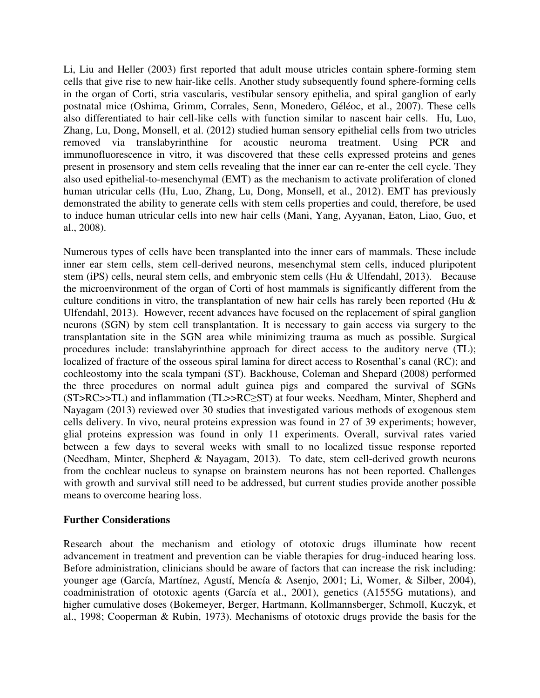Li, Liu and Heller (2003) first reported that adult mouse utricles contain sphere-forming stem cells that give rise to new hair-like cells. Another study subsequently found sphere-forming cells in the organ of Corti, stria vascularis, vestibular sensory epithelia, and spiral ganglion of early postnatal mice (Oshima, Grimm, Corrales, Senn, Monedero, Géléoc, et al., 2007). These cells also differentiated to hair cell-like cells with function similar to nascent hair cells. Hu, Luo, Zhang, Lu, Dong, Monsell, et al. (2012) studied human sensory epithelial cells from two utricles removed via translabyrinthine for acoustic neuroma treatment. Using PCR and immunofluorescence in vitro, it was discovered that these cells expressed proteins and genes present in prosensory and stem cells revealing that the inner ear can re-enter the cell cycle. They also used epithelial-to-mesenchymal (EMT) as the mechanism to activate proliferation of cloned human utricular cells (Hu, Luo, Zhang, Lu, Dong, Monsell, et al., 2012). EMT has previously demonstrated the ability to generate cells with stem cells properties and could, therefore, be used to induce human utricular cells into new hair cells (Mani, Yang, Ayyanan, Eaton, Liao, Guo, et al., 2008).

Numerous types of cells have been transplanted into the inner ears of mammals. These include inner ear stem cells, stem cell-derived neurons, mesenchymal stem cells, induced pluripotent stem (iPS) cells, neural stem cells, and embryonic stem cells (Hu & Ulfendahl, 2013). Because the microenvironment of the organ of Corti of host mammals is significantly different from the culture conditions in vitro, the transplantation of new hair cells has rarely been reported (Hu & Ulfendahl, 2013). However, recent advances have focused on the replacement of spiral ganglion neurons (SGN) by stem cell transplantation. It is necessary to gain access via surgery to the transplantation site in the SGN area while minimizing trauma as much as possible. Surgical procedures include: translabyrinthine approach for direct access to the auditory nerve (TL); localized of fracture of the osseous spiral lamina for direct access to Rosenthal's canal (RC); and cochleostomy into the scala tympani (ST). Backhouse, Coleman and Shepard (2008) performed the three procedures on normal adult guinea pigs and compared the survival of SGNs (ST>RC>>TL) and inflammation (TL>>RC≥ST) at four weeks. Needham, Minter, Shepherd and Nayagam (2013) reviewed over 30 studies that investigated various methods of exogenous stem cells delivery. In vivo, neural proteins expression was found in 27 of 39 experiments; however, glial proteins expression was found in only 11 experiments. Overall, survival rates varied between a few days to several weeks with small to no localized tissue response reported (Needham, Minter, Shepherd & Nayagam, 2013). To date, stem cell-derived growth neurons from the cochlear nucleus to synapse on brainstem neurons has not been reported. Challenges with growth and survival still need to be addressed, but current studies provide another possible means to overcome hearing loss.

### **Further Considerations**

Research about the mechanism and etiology of ototoxic drugs illuminate how recent advancement in treatment and prevention can be viable therapies for drug-induced hearing loss. Before administration, clinicians should be aware of factors that can increase the risk including: younger age (García, Martínez, Agustí, Mencía & Asenjo, 2001; Li, Womer, & Silber, 2004), coadministration of ototoxic agents (García et al., 2001), genetics (A1555G mutations), and higher cumulative doses (Bokemeyer, Berger, Hartmann, Kollmannsberger, Schmoll, Kuczyk, et al., 1998; Cooperman & Rubin, 1973). Mechanisms of ototoxic drugs provide the basis for the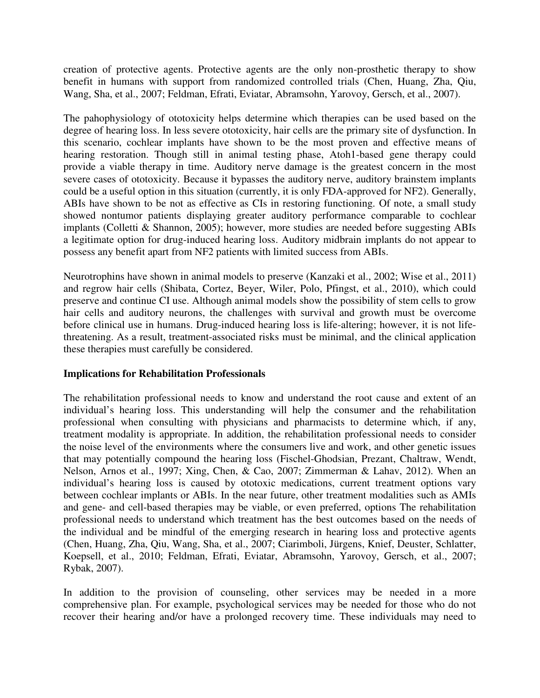creation of protective agents. Protective agents are the only non-prosthetic therapy to show benefit in humans with support from randomized controlled trials (Chen, Huang, Zha, Qiu, Wang, Sha, et al., 2007; Feldman, Efrati, Eviatar, Abramsohn, Yarovoy, Gersch, et al., 2007).

The pahophysiology of ototoxicity helps determine which therapies can be used based on the degree of hearing loss. In less severe ototoxicity, hair cells are the primary site of dysfunction. In this scenario, cochlear implants have shown to be the most proven and effective means of hearing restoration. Though still in animal testing phase, Atoh1-based gene therapy could provide a viable therapy in time. Auditory nerve damage is the greatest concern in the most severe cases of ototoxicity. Because it bypasses the auditory nerve, auditory brainstem implants could be a useful option in this situation (currently, it is only FDA-approved for NF2). Generally, ABIs have shown to be not as effective as CIs in restoring functioning. Of note, a small study showed nontumor patients displaying greater auditory performance comparable to cochlear implants (Colletti & Shannon, 2005); however, more studies are needed before suggesting ABIs a legitimate option for drug-induced hearing loss. Auditory midbrain implants do not appear to possess any benefit apart from NF2 patients with limited success from ABIs.

Neurotrophins have shown in animal models to preserve (Kanzaki et al., 2002; Wise et al., 2011) and regrow hair cells (Shibata, Cortez, Beyer, Wiler, Polo, Pfingst, et al., 2010), which could preserve and continue CI use. Although animal models show the possibility of stem cells to grow hair cells and auditory neurons, the challenges with survival and growth must be overcome before clinical use in humans. Drug-induced hearing loss is life-altering; however, it is not lifethreatening. As a result, treatment-associated risks must be minimal, and the clinical application these therapies must carefully be considered.

### **Implications for Rehabilitation Professionals**

The rehabilitation professional needs to know and understand the root cause and extent of an individual's hearing loss. This understanding will help the consumer and the rehabilitation professional when consulting with physicians and pharmacists to determine which, if any, treatment modality is appropriate. In addition, the rehabilitation professional needs to consider the noise level of the environments where the consumers live and work, and other genetic issues that may potentially compound the hearing loss (Fischel-Ghodsian, Prezant, Chaltraw, Wendt, Nelson, Arnos et al., 1997; Xing, Chen, & Cao, 2007; Zimmerman & Lahav, 2012). When an individual's hearing loss is caused by ototoxic medications, current treatment options vary between cochlear implants or ABIs. In the near future, other treatment modalities such as AMIs and gene- and cell-based therapies may be viable, or even preferred, options The rehabilitation professional needs to understand which treatment has the best outcomes based on the needs of the individual and be mindful of the emerging research in hearing loss and protective agents (Chen, Huang, Zha, Qiu, Wang, Sha, et al., 2007; Ciarimboli, Jürgens, Knief, Deuster, Schlatter, Koepsell, et al., 2010; Feldman, Efrati, Eviatar, Abramsohn, Yarovoy, Gersch, et al., 2007; Rybak, 2007).

In addition to the provision of counseling, other services may be needed in a more comprehensive plan. For example, psychological services may be needed for those who do not recover their hearing and/or have a prolonged recovery time. These individuals may need to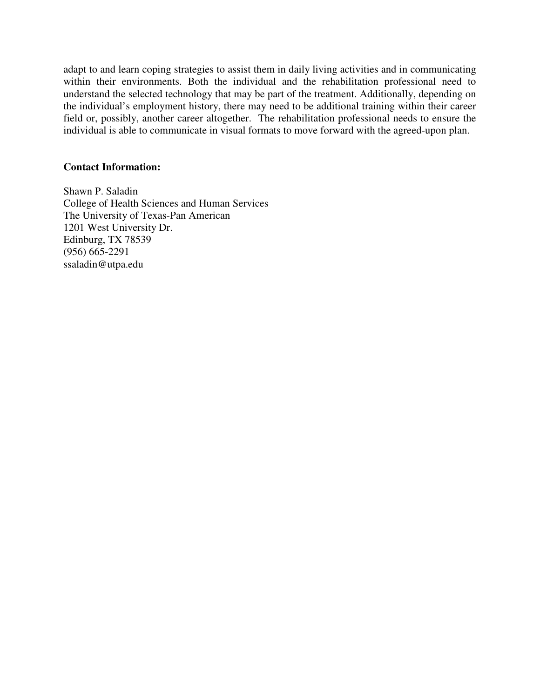adapt to and learn coping strategies to assist them in daily living activities and in communicating within their environments. Both the individual and the rehabilitation professional need to understand the selected technology that may be part of the treatment. Additionally, depending on the individual's employment history, there may need to be additional training within their career field or, possibly, another career altogether. The rehabilitation professional needs to ensure the individual is able to communicate in visual formats to move forward with the agreed-upon plan.

### **Contact Information:**

Shawn P. Saladin College of Health Sciences and Human Services The University of Texas-Pan American 1201 West University Dr. Edinburg, TX 78539 (956) 665-2291 ssaladin@utpa.edu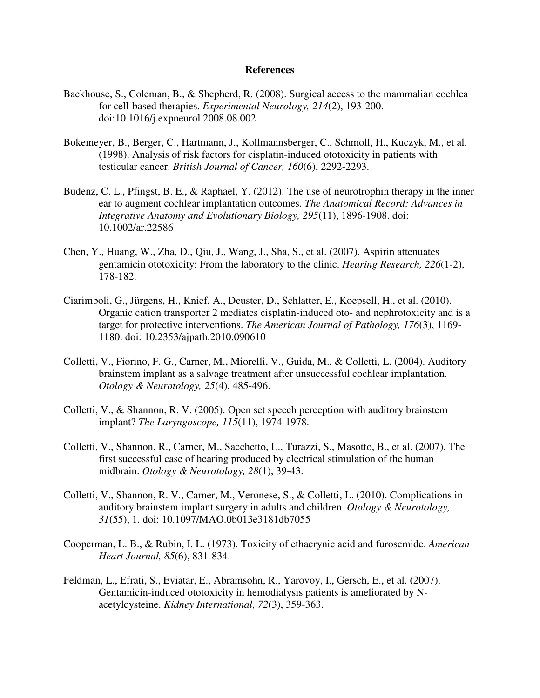#### **References**

- Backhouse, S., Coleman, B., & Shepherd, R. (2008). Surgical access to the mammalian cochlea for cell-based therapies. *Experimental Neurology, 214*(2), 193-200. doi:10.1016/j.expneurol.2008.08.002
- Bokemeyer, B., Berger, C., Hartmann, J., Kollmannsberger, C., Schmoll, H., Kuczyk, M., et al. (1998). Analysis of risk factors for cisplatin-induced ototoxicity in patients with testicular cancer. *British Journal of Cancer, 160*(6), 2292-2293.
- Budenz, C. L., Pfingst, B. E., & Raphael, Y. (2012). The use of neurotrophin therapy in the inner ear to augment cochlear implantation outcomes. *The Anatomical Record: Advances in Integrative Anatomy and Evolutionary Biology, 295*(11), 1896-1908. doi: 10.1002/ar.22586
- Chen, Y., Huang, W., Zha, D., Qiu, J., Wang, J., Sha, S., et al. (2007). Aspirin attenuates gentamicin ototoxicity: From the laboratory to the clinic. *Hearing Research, 226*(1-2), 178-182.
- Ciarimboli, G., Jürgens, H., Knief, A., Deuster, D., Schlatter, E., Koepsell, H., et al. (2010). Organic cation transporter 2 mediates cisplatin-induced oto- and nephrotoxicity and is a target for protective interventions. *The American Journal of Pathology, 176*(3), 1169- 1180. doi: 10.2353/ajpath.2010.090610
- Colletti, V., Fiorino, F. G., Carner, M., Miorelli, V., Guida, M., & Colletti, L. (2004). Auditory brainstem implant as a salvage treatment after unsuccessful cochlear implantation. *Otology & Neurotology, 25*(4), 485-496.
- Colletti, V., & Shannon, R. V. (2005). Open set speech perception with auditory brainstem implant? *The Laryngoscope, 115*(11), 1974-1978.
- Colletti, V., Shannon, R., Carner, M., Sacchetto, L., Turazzi, S., Masotto, B., et al. (2007). The first successful case of hearing produced by electrical stimulation of the human midbrain. *Otology & Neurotology, 28*(1), 39-43.
- Colletti, V., Shannon, R. V., Carner, M., Veronese, S., & Colletti, L. (2010). Complications in auditory brainstem implant surgery in adults and children. *Otology & Neurotology, 31*(55), 1. doi: 10.1097/MAO.0b013e3181db7055
- Cooperman, L. B., & Rubin, I. L. (1973). Toxicity of ethacrynic acid and furosemide. *American Heart Journal, 85*(6), 831-834.
- Feldman, L., Efrati, S., Eviatar, E., Abramsohn, R., Yarovoy, I., Gersch, E., et al. (2007). Gentamicin-induced ototoxicity in hemodialysis patients is ameliorated by Nacetylcysteine. *Kidney International, 72*(3), 359-363.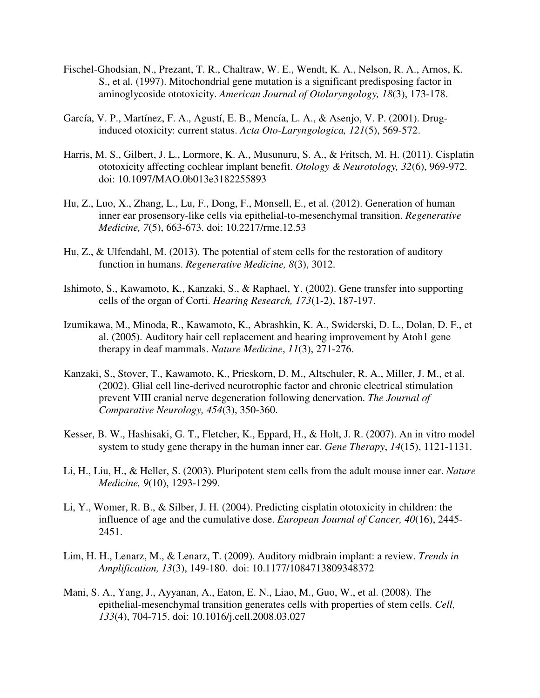- Fischel-Ghodsian, N., Prezant, T. R., Chaltraw, W. E., Wendt, K. A., Nelson, R. A., Arnos, K. S., et al. (1997). Mitochondrial gene mutation is a significant predisposing factor in aminoglycoside ototoxicity. *American Journal of Otolaryngology, 18*(3), 173-178.
- García, V. P., Martínez, F. A., Agustí, E. B., Mencía, L. A., & Asenjo, V. P. (2001). Druginduced otoxicity: current status. *Acta Oto-Laryngologica, 121*(5), 569-572.
- Harris, M. S., Gilbert, J. L., Lormore, K. A., Musunuru, S. A., & Fritsch, M. H. (2011). Cisplatin ototoxicity affecting cochlear implant benefit. *Otology & Neurotology, 32*(6), 969-972. doi: 10.1097/MAO.0b013e3182255893
- Hu, Z., Luo, X., Zhang, L., Lu, F., Dong, F., Monsell, E., et al. (2012). Generation of human inner ear prosensory-like cells via epithelial-to-mesenchymal transition. *Regenerative Medicine, 7*(5), 663-673. doi: 10.2217/rme.12.53
- Hu, Z., & Ulfendahl, M. (2013). The potential of stem cells for the restoration of auditory function in humans. *Regenerative Medicine, 8*(3), 3012.
- Ishimoto, S., Kawamoto, K., Kanzaki, S., & Raphael, Y. (2002). Gene transfer into supporting cells of the organ of Corti. *Hearing Research, 173*(1-2), 187-197.
- Izumikawa, M., Minoda, R., Kawamoto, K., Abrashkin, K. A., Swiderski, D. L., Dolan, D. F., et al. (2005). Auditory hair cell replacement and hearing improvement by Atoh1 gene therapy in deaf mammals. *Nature Medicine*, *11*(3), 271-276.
- Kanzaki, S., Stover, T., Kawamoto, K., Prieskorn, D. M., Altschuler, R. A., Miller, J. M., et al. (2002). Glial cell line-derived neurotrophic factor and chronic electrical stimulation prevent VIII cranial nerve degeneration following denervation. *The Journal of Comparative Neurology, 454*(3), 350-360.
- Kesser, B. W., Hashisaki, G. T., Fletcher, K., Eppard, H., & Holt, J. R. (2007). An in vitro model system to study gene therapy in the human inner ear. *Gene Therapy*, *14*(15), 1121-1131.
- Li, H., Liu, H., & Heller, S. (2003). Pluripotent stem cells from the adult mouse inner ear. *Nature Medicine, 9*(10), 1293-1299.
- Li, Y., Womer, R. B., & Silber, J. H. (2004). Predicting cisplatin ototoxicity in children: the influence of age and the cumulative dose. *European Journal of Cancer, 40*(16), 2445- 2451.
- Lim, H. H., Lenarz, M., & Lenarz, T. (2009). Auditory midbrain implant: a review. *Trends in Amplification, 13*(3), 149-180. doi: 10.1177/1084713809348372
- Mani, S. A., Yang, J., Ayyanan, A., Eaton, E. N., Liao, M., Guo, W., et al. (2008). The epithelial-mesenchymal transition generates cells with properties of stem cells. *Cell, 133*(4), 704-715. doi: 10.1016/j.cell.2008.03.027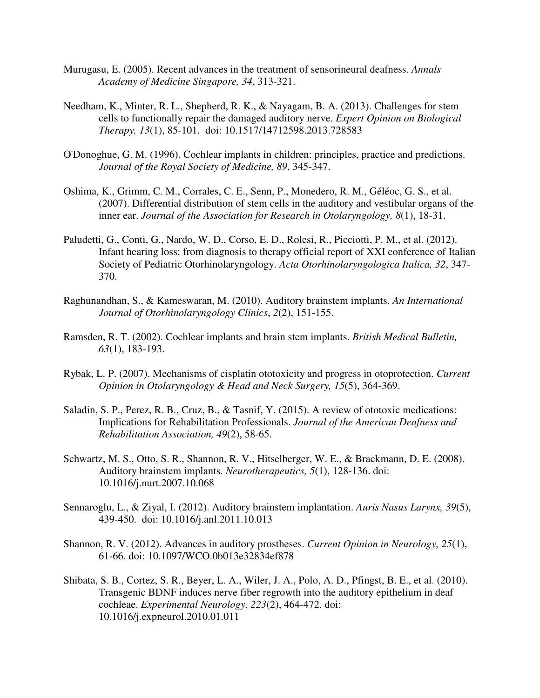- Murugasu, E. (2005). Recent advances in the treatment of sensorineural deafness. *Annals Academy of Medicine Singapore, 34*, 313-321.
- Needham, K., Minter, R. L., Shepherd, R. K., & Nayagam, B. A. (2013). Challenges for stem cells to functionally repair the damaged auditory nerve. *Expert Opinion on Biological Therapy, 13*(1), 85-101. doi: 10.1517/14712598.2013.728583
- O'Donoghue, G. M. (1996). Cochlear implants in children: principles, practice and predictions. *Journal of the Royal Society of Medicine, 89*, 345-347.
- Oshima, K., Grimm, C. M., Corrales, C. E., Senn, P., Monedero, R. M., Géléoc, G. S., et al. (2007). Differential distribution of stem cells in the auditory and vestibular organs of the inner ear. *Journal of the Association for Research in Otolaryngology, 8*(1), 18-31.
- Paludetti, G., Conti, G., Nardo, W. D., Corso, E. D., Rolesi, R., Picciotti, P. M., et al. (2012). Infant hearing loss: from diagnosis to therapy official report of XXI conference of Italian Society of Pediatric Otorhinolaryngology. *Acta Otorhinolaryngologica Italica, 32*, 347- 370.
- Raghunandhan, S., & Kameswaran, M. (2010). Auditory brainstem implants. *An International Journal of Otorhinolaryngology Clinics*, *2*(2), 151-155.
- Ramsden, R. T. (2002). Cochlear implants and brain stem implants. *British Medical Bulletin, 63*(1), 183-193.
- Rybak, L. P. (2007). Mechanisms of cisplatin ototoxicity and progress in otoprotection. *Current Opinion in Otolaryngology & Head and Neck Surgery, 15*(5), 364-369.
- Saladin, S. P., Perez, R. B., Cruz, B., & Tasnif, Y. (2015). A review of ototoxic medications: Implications for Rehabilitation Professionals. *Journal of the American Deafness and Rehabilitation Association, 49*(2), 58-65.
- Schwartz, M. S., Otto, S. R., Shannon, R. V., Hitselberger, W. E., & Brackmann, D. E. (2008). Auditory brainstem implants. *Neurotherapeutics, 5*(1), 128-136. doi: 10.1016/j.nurt.2007.10.068
- Sennaroglu, L., & Ziyal, I. (2012). Auditory brainstem implantation. *Auris Nasus Larynx, 39*(5), 439-450. doi: 10.1016/j.anl.2011.10.013
- Shannon, R. V. (2012). Advances in auditory prostheses. *Current Opinion in Neurology, 25*(1), 61-66. doi: 10.1097/WCO.0b013e32834ef878
- Shibata, S. B., Cortez, S. R., Beyer, L. A., Wiler, J. A., Polo, A. D., Pfingst, B. E., et al. (2010). Transgenic BDNF induces nerve fiber regrowth into the auditory epithelium in deaf cochleae. *Experimental Neurology, 223*(2), 464-472. doi: 10.1016/j.expneurol.2010.01.011